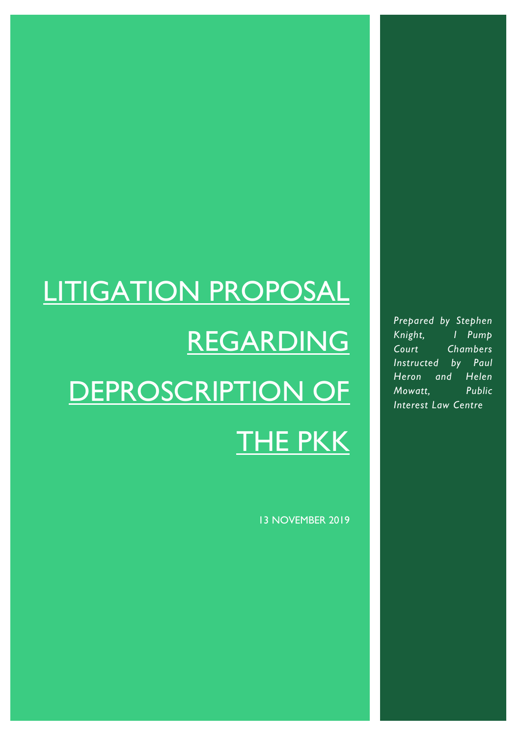# LITIGATION PROPOSAL REGARDING DEPROSCRIPTION OF THE PKK

13 NOVEMBER 2019

*Prepared by Stephen Knight, 1 Pump Court Chambers Instructed by Paul Heron and Helen Mowatt, Public Interest Law Centre*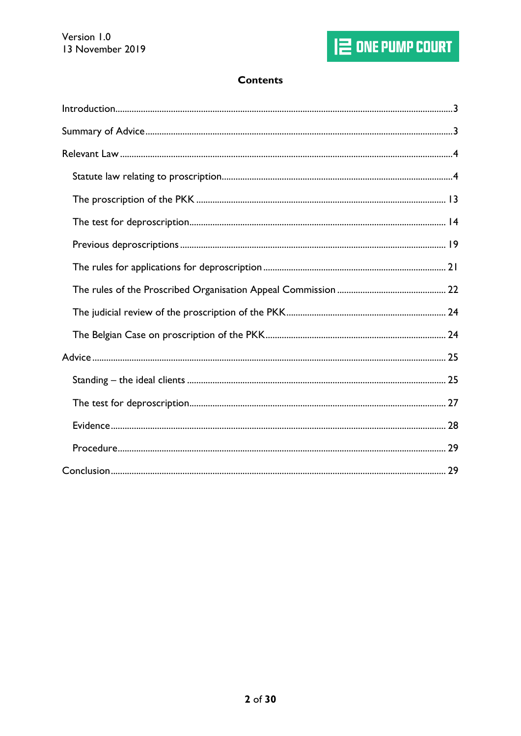# **Contents**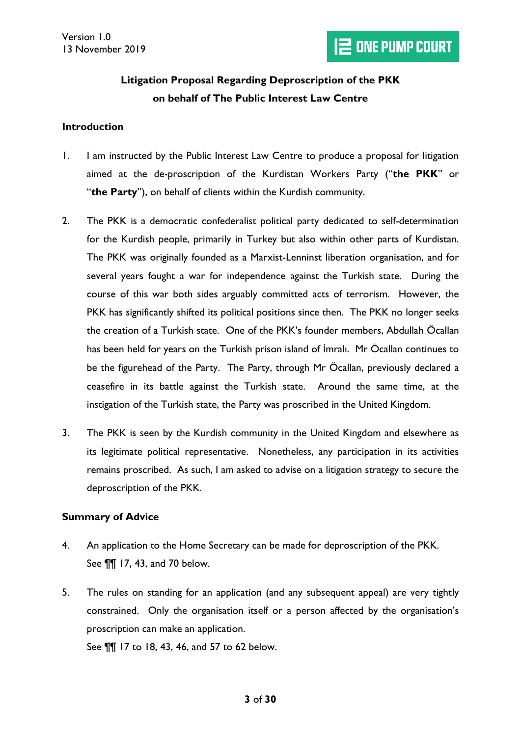# **Litigation Proposal Regarding Deproscription of the PKK on behalf of The Public Interest Law Centre**

#### <span id="page-2-0"></span>**Introduction**

- 1. I am instructed by the Public Interest Law Centre to produce a proposal for litigation aimed at the de-proscription of the Kurdistan Workers Party ("**the PKK**" or "**the Party**"), on behalf of clients within the Kurdish community.
- 2. The PKK is a democratic confederalist political party dedicated to self-determination for the Kurdish people, primarily in Turkey but also within other parts of Kurdistan. The PKK was originally founded as a Marxist-Lenninst liberation organisation, and for several years fought a war for independence against the Turkish state. During the course of this war both sides arguably committed acts of terrorism. However, the PKK has significantly shifted its political positions since then. The PKK no longer seeks the creation of a Turkish state. One of the PKK's founder members, Abdullah Öcallan has been held for years on the Turkish prison island of İmralı. Mr Öcallan continues to be the figurehead of the Party. The Party, through Mr Öcallan, previously declared a ceasefire in its battle against the Turkish state. Around the same time, at the instigation of the Turkish state, the Party was proscribed in the United Kingdom.
- 3. The PKK is seen by the Kurdish community in the United Kingdom and elsewhere as its legitimate political representative. Nonetheless, any participation in its activities remains proscribed. As such, I am asked to advise on a litigation strategy to secure the deproscription of the PKK.

#### <span id="page-2-1"></span>**Summary of Advice**

- 4. An application to the Home Secretary can be made for deproscription of the PKK. See ¶¶ [17,](#page-7-0) [43,](#page-20-1) and [70 below.](#page-28-2)
- 5. The rules on standing for an application (and any subsequent appeal) are very tightly constrained. Only the organisation itself or a person affected by the organisation's proscription can make an application. See ¶¶ [17](#page-7-0) to [18,](#page-7-1) [43,](#page-20-1) [46,](#page-21-1) and [57](#page-24-2) to [62 below.](#page-25-0)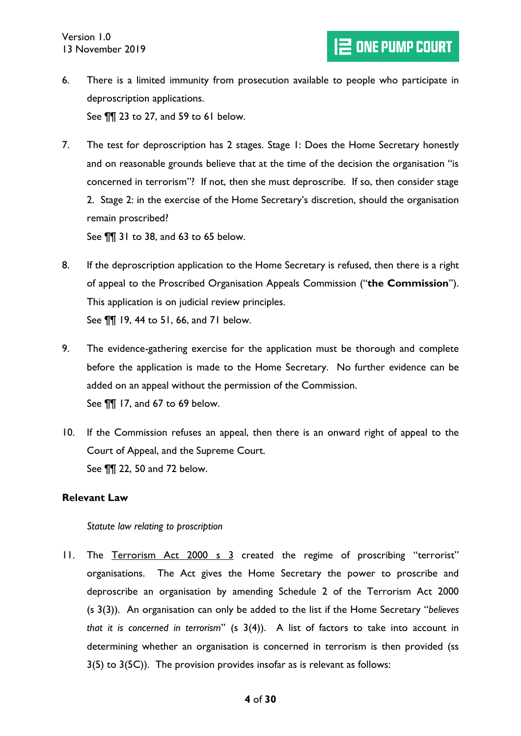- 6. There is a limited immunity from prosecution available to people who participate in deproscription applications. See ¶¶ [23](#page-9-0) to [27,](#page-11-0) and [59](#page-24-3) to [61 below.](#page-25-1)
- 7. The test for deproscription has 2 stages. Stage 1: Does the Home Secretary honestly and on reasonable grounds believe that at the time of the decision the organisation "is concerned in terrorism"? If not, then she must deproscribe. If so, then consider stage 2. Stage 2: in the exercise of the Home Secretary's discretion, should the organisation remain proscribed?

See ¶¶ [31](#page-13-1) to [38,](#page-18-1) and [63](#page-26-1) to [65 below.](#page-26-2)

- 8. If the deproscription application to the Home Secretary is refused, then there is a right of appeal to the Proscribed Organisation Appeals Commission ("**the Commission**"). This application is on judicial review principles. See ¶¶ [19,](#page-7-2) [44](#page-21-2) to [51,](#page-22-0) [66,](#page-26-3) and [71 below.](#page-28-3)
- 9. The evidence-gathering exercise for the application must be thorough and complete before the application is made to the Home Secretary. No further evidence can be added on an appeal without the permission of the Commission. See ¶¶ [17,](#page-7-0) and [67](#page-27-1) to [69 below.](#page-27-2)
- 10. If the Commission refuses an appeal, then there is an onward right of appeal to the Court of Appeal, and the Supreme Court. See ¶¶ [22,](#page-8-0) [50](#page-22-1) and [72 below.](#page-28-4)

# <span id="page-3-0"></span>**Relevant Law**

#### <span id="page-3-1"></span>*Statute law relating to proscription*

11. The Terrorism Act 2000 s 3 created the regime of proscribing "terrorist" organisations. The Act gives the Home Secretary the power to proscribe and deproscribe an organisation by amending Schedule 2 of the Terrorism Act 2000 (s 3(3)). An organisation can only be added to the list if the Home Secretary "*believes that it is concerned in terrorism*" (s 3(4)). A list of factors to take into account in determining whether an organisation is concerned in terrorism is then provided (ss 3(5) to 3(5C)). The provision provides insofar as is relevant as follows: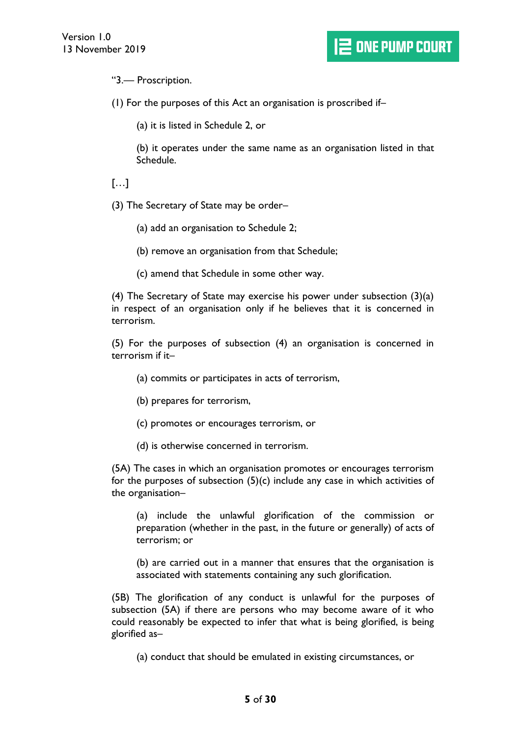"3.— Proscription.

(1) For the purposes of this Act an organisation is proscribed if–

(a) it is listed in Schedule 2, or

(b) it operates under the same name as an organisation listed in that Schedule.

# […]

(3) The Secretary of State may be order–

(a) add an organisation to Schedule 2;

(b) remove an organisation from that Schedule;

(c) amend that Schedule in some other way.

(4) The Secretary of State may exercise his power under subsection (3)(a) in respect of an organisation only if he believes that it is concerned in terrorism.

(5) For the purposes of subsection (4) an organisation is concerned in terrorism if it–

(a) commits or participates in acts of terrorism,

(b) prepares for terrorism,

(c) promotes or encourages terrorism, or

(d) is otherwise concerned in terrorism.

(5A) The cases in which an organisation promotes or encourages terrorism for the purposes of subsection (5)(c) include any case in which activities of the organisation–

(a) include the unlawful glorification of the commission or preparation (whether in the past, in the future or generally) of acts of terrorism; or

(b) are carried out in a manner that ensures that the organisation is associated with statements containing any such glorification.

(5B) The glorification of any conduct is unlawful for the purposes of subsection (5A) if there are persons who may become aware of it who could reasonably be expected to infer that what is being glorified, is being glorified as–

(a) conduct that should be emulated in existing circumstances, or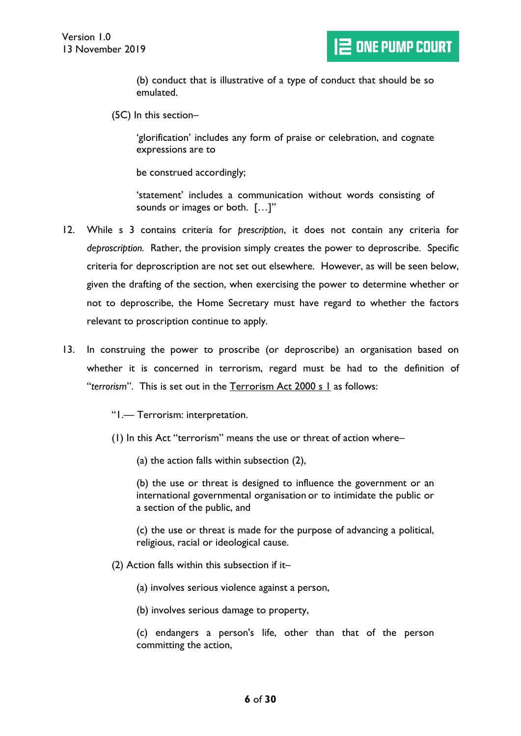(b) conduct that is illustrative of a type of conduct that should be so emulated.

(5C) In this section–

'glorification' includes any form of praise or celebration, and cognate expressions are to

be construed accordingly;

'statement' includes a communication without words consisting of sounds or images or both. […]"

- 12. While s 3 contains criteria for *prescription*, it does not contain any criteria for *deproscription.* Rather, the provision simply creates the power to deproscribe. Specific criteria for deproscription are not set out elsewhere. However, as will be seen below, given the drafting of the section, when exercising the power to determine whether or not to deproscribe, the Home Secretary must have regard to whether the factors relevant to proscription continue to apply.
- 13. In construing the power to proscribe (or deproscribe) an organisation based on whether it is concerned in terrorism, regard must be had to the definition of "*terrorism*". This is set out in the Terrorism Act 2000 s 1 as follows:

"1.— Terrorism: interpretation.

- (1) In this Act "terrorism" means the use or threat of action where–
	- (a) the action falls within subsection (2),

(b) the use or threat is designed to influence the government or an international governmental organisation or to intimidate the public or a section of the public, and

(c) the use or threat is made for the purpose of advancing a political, religious, racial or ideological cause.

- (2) Action falls within this subsection if it–
	- (a) involves serious violence against a person,
	- (b) involves serious damage to property,

(c) endangers a person's life, other than that of the person committing the action,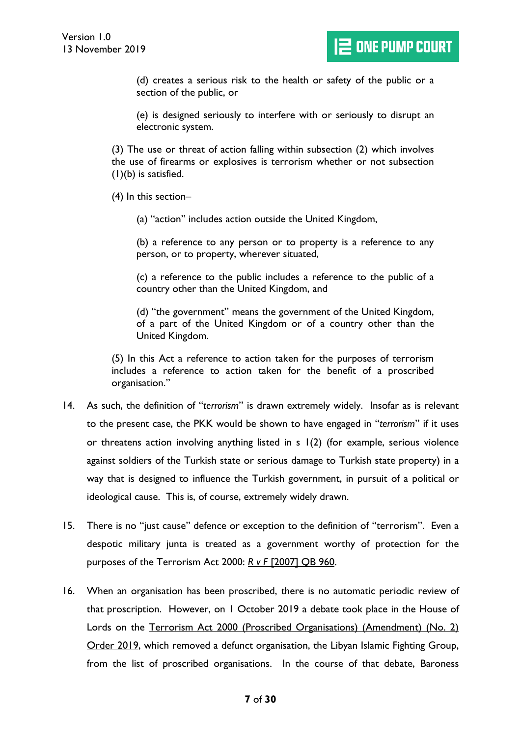(d) creates a serious risk to the health or safety of the public or a section of the public, or

(e) is designed seriously to interfere with or seriously to disrupt an electronic system.

(3) The use or threat of action falling within subsection (2) which involves the use of firearms or explosives is terrorism whether or not subsection (1)(b) is satisfied.

- (4) In this section–
	- (a) "action" includes action outside the United Kingdom,

(b) a reference to any person or to property is a reference to any person, or to property, wherever situated,

(c) a reference to the public includes a reference to the public of a country other than the United Kingdom, and

(d) "the government" means the government of the United Kingdom, of a part of the United Kingdom or of a country other than the United Kingdom.

(5) In this Act a reference to action taken for the purposes of terrorism includes a reference to action taken for the benefit of a proscribed organisation."

- 14. As such, the definition of "*terrorism*" is drawn extremely widely. Insofar as is relevant to the present case, the PKK would be shown to have engaged in "*terrorism*" if it uses or threatens action involving anything listed in s 1(2) (for example, serious violence against soldiers of the Turkish state or serious damage to Turkish state property) in a way that is designed to influence the Turkish government, in pursuit of a political or ideological cause. This is, of course, extremely widely drawn.
- 15. There is no "just cause" defence or exception to the definition of "terrorism". Even a despotic military junta is treated as a government worthy of protection for the purposes of the Terrorism Act 2000: *R v F* [2007] QB 960.
- 16. When an organisation has been proscribed, there is no automatic periodic review of that proscription. However, on 1 October 2019 a debate took place in the House of Lords on the Terrorism Act 2000 (Proscribed Organisations) (Amendment) (No. 2) Order 2019, which removed a defunct organisation, the Libyan Islamic Fighting Group, from the list of proscribed organisations. In the course of that debate, Baroness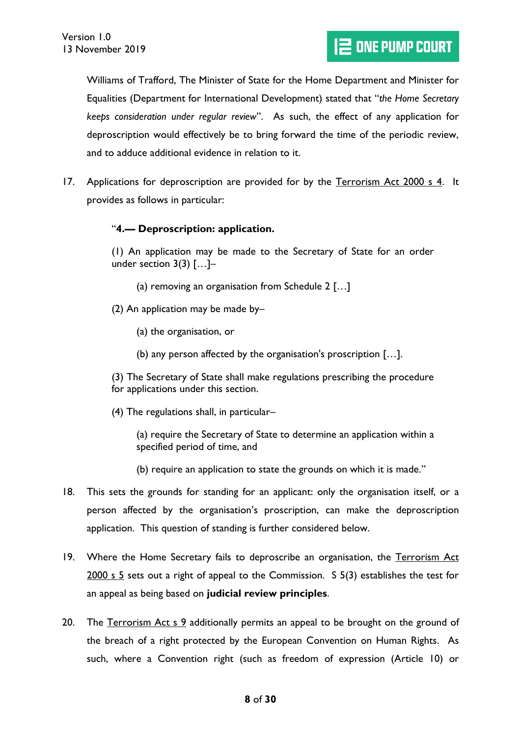Williams of Trafford, The Minister of State for the Home Department and Minister for Equalities (Department for International Development) stated that "*the Home Secretary keeps consideration under regular review*". As such, the effect of any application for deproscription would effectively be to bring forward the time of the periodic review, and to adduce additional evidence in relation to it.

<span id="page-7-0"></span>17. Applications for deproscription are provided for by the Terrorism Act 2000 s 4. It provides as follows in particular:

# "**4.— Deproscription: application.**

(1) An application may be made to the Secretary of State for an order under section 3(3) […]–

- (a) removing an organisation from Schedule 2 […]
- (2) An application may be made by–
	- (a) the organisation, or
	- (b) any person affected by the organisation's proscription […].

(3) The Secretary of State shall make regulations prescribing the procedure for applications under this section.

(4) The regulations shall, in particular–

(a) require the Secretary of State to determine an application within a specified period of time, and

- (b) require an application to state the grounds on which it is made."
- <span id="page-7-1"></span>18. This sets the grounds for standing for an applicant: only the organisation itself, or a person affected by the organisation's proscription, can make the deproscription application. This question of standing is further considered below.
- <span id="page-7-2"></span>19. Where the Home Secretary fails to deproscribe an organisation, the Terrorism Act 2000 s 5 sets out a right of appeal to the Commission. S 5(3) establishes the test for an appeal as being based on **judicial review principles**.
- 20. The Terrorism Act s 9 additionally permits an appeal to be brought on the ground of the breach of a right protected by the European Convention on Human Rights. As such, where a Convention right (such as freedom of expression (Article 10) or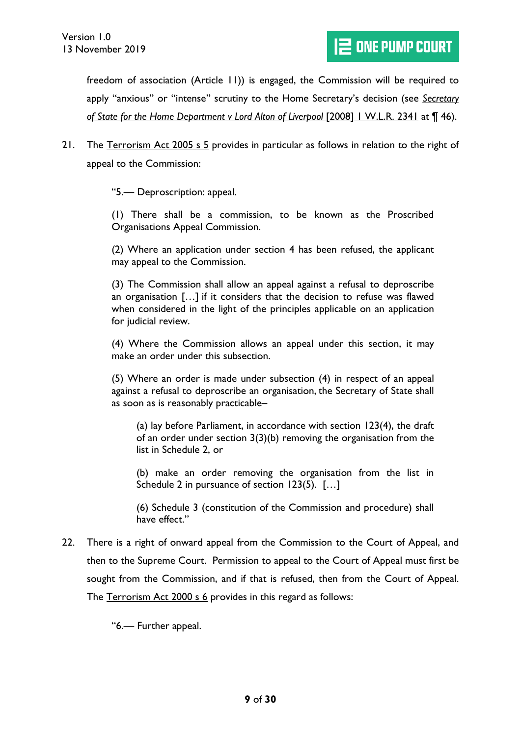freedom of association (Article 11)) is engaged, the Commission will be required to apply "anxious" or "intense" scrutiny to the Home Secretary's decision (see *Secretary of State for the Home Department v Lord Alton of Liverpool* [2008] 1 W.L.R. 2341 at ¶ 46).

21. The Terrorism Act 2005 s 5 provides in particular as follows in relation to the right of appeal to the Commission:

"5.— Deproscription: appeal.

(1) There shall be a commission, to be known as the Proscribed Organisations Appeal Commission.

(2) Where an application under section 4 has been refused, the applicant may appeal to the Commission.

(3) The Commission shall allow an appeal against a refusal to deproscribe an organisation […] if it considers that the decision to refuse was flawed when considered in the light of the principles applicable on an application for judicial review.

(4) Where the Commission allows an appeal under this section, it may make an order under this subsection.

(5) Where an order is made under subsection (4) in respect of an appeal against a refusal to deproscribe an organisation, the Secretary of State shall as soon as is reasonably practicable–

(a) lay before Parliament, in accordance with section 123(4), the draft of an order under section  $3(3)(b)$  removing the organisation from the list in Schedule 2, or

(b) make an order removing the organisation from the list in Schedule 2 in pursuance of section 123(5). […]

(6) Schedule 3 (constitution of the Commission and procedure) shall have effect."

<span id="page-8-0"></span>22. There is a right of onward appeal from the Commission to the Court of Appeal, and then to the Supreme Court. Permission to appeal to the Court of Appeal must first be sought from the Commission, and if that is refused, then from the Court of Appeal. The Terrorism Act 2000 s 6 provides in this regard as follows:

"6.— Further appeal.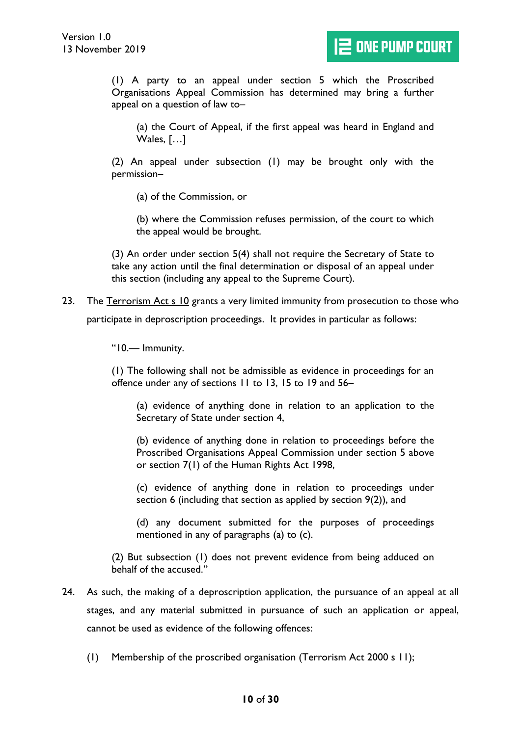(1) A party to an appeal under section 5 which the Proscribed Organisations Appeal Commission has determined may bring a further appeal on a question of law to–

(a) the Court of Appeal, if the first appeal was heard in England and Wales, […]

(2) An appeal under subsection (1) may be brought only with the permission–

(a) of the Commission, or

(b) where the Commission refuses permission, of the court to which the appeal would be brought.

(3) An order under section 5(4) shall not require the Secretary of State to take any action until the final determination or disposal of an appeal under this section (including any appeal to the Supreme Court).

<span id="page-9-0"></span>23. The Terrorism Act s 10 grants a very limited immunity from prosecution to those who participate in deproscription proceedings. It provides in particular as follows:

"10.— Immunity.

(1) The following shall not be admissible as evidence in proceedings for an offence under any of sections 11 to 13, 15 to 19 and 56–

(a) evidence of anything done in relation to an application to the Secretary of State under section 4,

(b) evidence of anything done in relation to proceedings before the Proscribed Organisations Appeal Commission under section 5 above or section 7(1) of the Human Rights Act 1998,

(c) evidence of anything done in relation to proceedings under section 6 (including that section as applied by section 9(2)), and

(d) any document submitted for the purposes of proceedings mentioned in any of paragraphs (a) to (c).

(2) But subsection (1) does not prevent evidence from being adduced on behalf of the accused."

- 24. As such, the making of a deproscription application, the pursuance of an appeal at all stages, and any material submitted in pursuance of such an application or appeal, cannot be used as evidence of the following offences:
	- (1) Membership of the proscribed organisation (Terrorism Act 2000 s 11);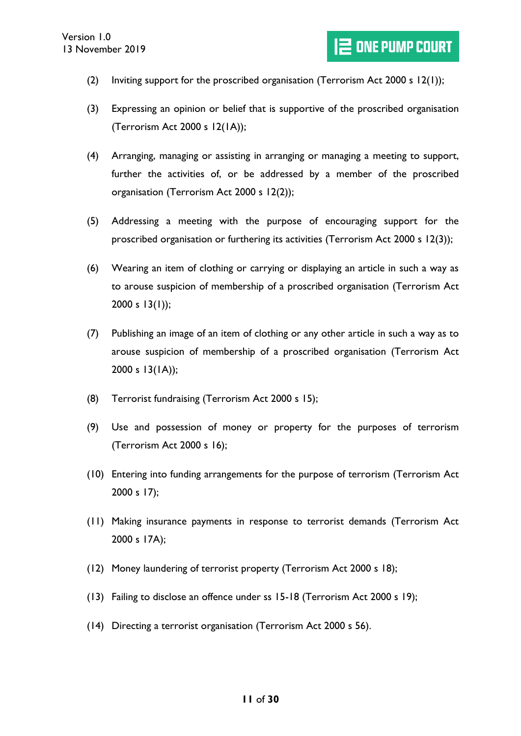- (2) Inviting support for the proscribed organisation (Terrorism Act 2000 s  $12(1)$ );
- (3) Expressing an opinion or belief that is supportive of the proscribed organisation (Terrorism Act 2000 s 12(1A));
- (4) Arranging, managing or assisting in arranging or managing a meeting to support, further the activities of, or be addressed by a member of the proscribed organisation (Terrorism Act 2000 s 12(2));
- (5) Addressing a meeting with the purpose of encouraging support for the proscribed organisation or furthering its activities (Terrorism Act 2000 s 12(3));
- (6) Wearing an item of clothing or carrying or displaying an article in such a way as to arouse suspicion of membership of a proscribed organisation (Terrorism Act 2000 s  $13(1)$ ;
- (7) Publishing an image of an item of clothing or any other article in such a way as to arouse suspicion of membership of a proscribed organisation (Terrorism Act 2000 s 13(1A));
- (8) Terrorist fundraising (Terrorism Act 2000 s 15);
- (9) Use and possession of money or property for the purposes of terrorism (Terrorism Act 2000 s 16);
- (10) Entering into funding arrangements for the purpose of terrorism (Terrorism Act 2000 s 17);
- (11) Making insurance payments in response to terrorist demands (Terrorism Act 2000 s 17A);
- (12) Money laundering of terrorist property (Terrorism Act 2000 s 18);
- (13) Failing to disclose an offence under ss 15-18 (Terrorism Act 2000 s 19);
- (14) Directing a terrorist organisation (Terrorism Act 2000 s 56).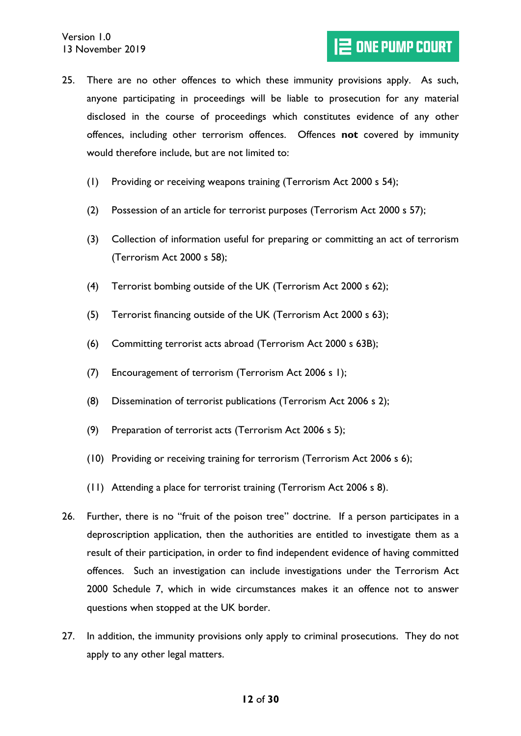- 25. There are no other offences to which these immunity provisions apply. As such, anyone participating in proceedings will be liable to prosecution for any material disclosed in the course of proceedings which constitutes evidence of any other offences, including other terrorism offences. Offences **not** covered by immunity would therefore include, but are not limited to:
	- (1) Providing or receiving weapons training (Terrorism Act 2000 s 54);
	- (2) Possession of an article for terrorist purposes (Terrorism Act 2000 s 57);
	- (3) Collection of information useful for preparing or committing an act of terrorism (Terrorism Act 2000 s 58);
	- (4) Terrorist bombing outside of the UK (Terrorism Act 2000 s 62);
	- (5) Terrorist financing outside of the UK (Terrorism Act 2000 s 63);
	- (6) Committing terrorist acts abroad (Terrorism Act 2000 s 63B);
	- (7) Encouragement of terrorism (Terrorism Act 2006 s 1);
	- (8) Dissemination of terrorist publications (Terrorism Act 2006 s 2);
	- (9) Preparation of terrorist acts (Terrorism Act 2006 s 5);
	- (10) Providing or receiving training for terrorism (Terrorism Act 2006 s 6);
	- (11) Attending a place for terrorist training (Terrorism Act 2006 s 8).
- 26. Further, there is no "fruit of the poison tree" doctrine. If a person participates in a deproscription application, then the authorities are entitled to investigate them as a result of their participation, in order to find independent evidence of having committed offences. Such an investigation can include investigations under the Terrorism Act 2000 Schedule 7, which in wide circumstances makes it an offence not to answer questions when stopped at the UK border.
- <span id="page-11-0"></span>27. In addition, the immunity provisions only apply to criminal prosecutions. They do not apply to any other legal matters.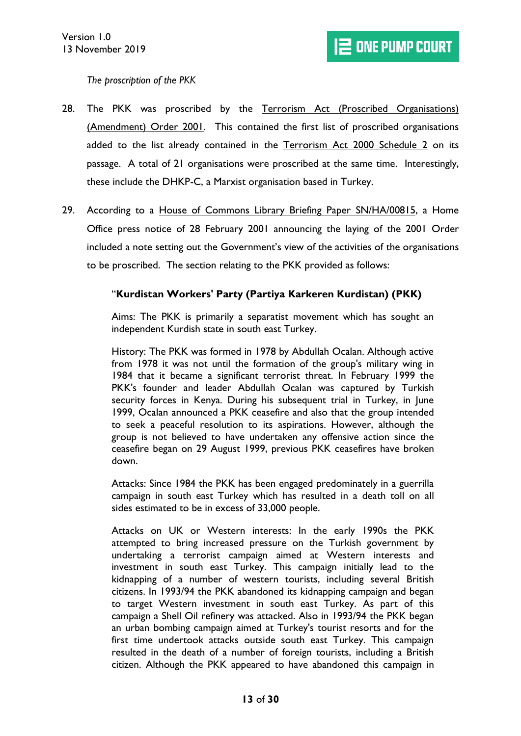# <span id="page-12-0"></span>*The proscription of the PKK*

- 28. The PKK was proscribed by the Terrorism Act (Proscribed Organisations) (Amendment) Order 2001. This contained the first list of proscribed organisations added to the list already contained in the Terrorism Act 2000 Schedule 2 on its passage. A total of 21 organisations were proscribed at the same time. Interestingly, these include the DHKP-C, a Marxist organisation based in Turkey.
- 29. According to a House of Commons Library Briefing Paper SN/HA/00815, a Home Office press notice of 28 February 2001 announcing the laying of the 2001 Order included a note setting out the Government's view of the activities of the organisations to be proscribed. The section relating to the PKK provided as follows:

#### "**Kurdistan Workers' Party (Partiya Karkeren Kurdistan) (PKK)**

Aims: The PKK is primarily a separatist movement which has sought an independent Kurdish state in south east Turkey.

History: The PKK was formed in 1978 by Abdullah Ocalan. Although active from 1978 it was not until the formation of the group's military wing in 1984 that it became a significant terrorist threat. In February 1999 the PKK's founder and leader Abdullah Ocalan was captured by Turkish security forces in Kenya. During his subsequent trial in Turkey, in June 1999, Ocalan announced a PKK ceasefire and also that the group intended to seek a peaceful resolution to its aspirations. However, although the group is not believed to have undertaken any offensive action since the ceasefire began on 29 August 1999, previous PKK ceasefires have broken down.

Attacks: Since 1984 the PKK has been engaged predominately in a guerrilla campaign in south east Turkey which has resulted in a death toll on all sides estimated to be in excess of 33,000 people.

Attacks on UK or Western interests: In the early 1990s the PKK attempted to bring increased pressure on the Turkish government by undertaking a terrorist campaign aimed at Western interests and investment in south east Turkey. This campaign initially lead to the kidnapping of a number of western tourists, including several British citizens. In 1993/94 the PKK abandoned its kidnapping campaign and began to target Western investment in south east Turkey. As part of this campaign a Shell Oil refinery was attacked. Also in 1993/94 the PKK began an urban bombing campaign aimed at Turkey's tourist resorts and for the first time undertook attacks outside south east Turkey. This campaign resulted in the death of a number of foreign tourists, including a British citizen. Although the PKK appeared to have abandoned this campaign in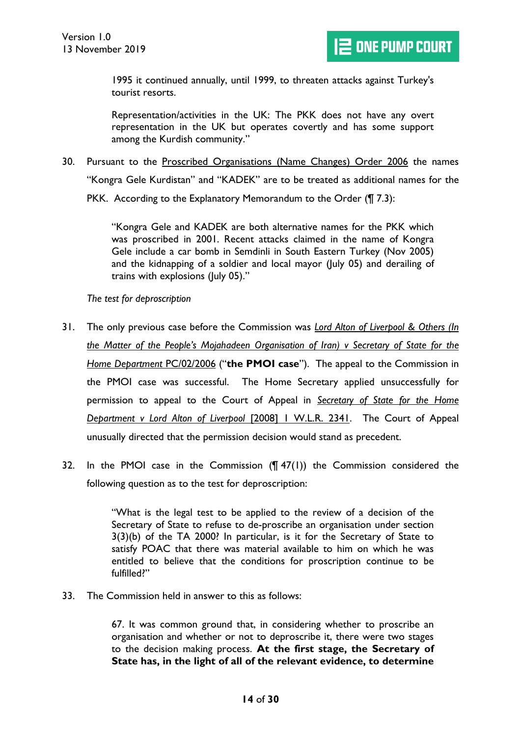1995 it continued annually, until 1999, to threaten attacks against Turkey's tourist resorts.

Representation/activities in the UK: The PKK does not have any overt representation in the UK but operates covertly and has some support among the Kurdish community."

30. Pursuant to the Proscribed Organisations (Name Changes) Order 2006 the names "Kongra Gele Kurdistan" and "KADEK" are to be treated as additional names for the PKK. According to the Explanatory Memorandum to the Order (¶ 7.3):

> "Kongra Gele and KADEK are both alternative names for the PKK which was proscribed in 2001. Recent attacks claimed in the name of Kongra Gele include a car bomb in Semdinli in South Eastern Turkey (Nov 2005) and the kidnapping of a soldier and local mayor (July 05) and derailing of trains with explosions (July 05)."

<span id="page-13-0"></span>*The test for deproscription*

- <span id="page-13-1"></span>31. The only previous case before the Commission was *Lord Alton of Liverpool & Others (In the Matter of the People's Mojahadeen Organisation of Iran) v Secretary of State for the Home Department* PC/02/2006 ("**the PMOI case**"). The appeal to the Commission in the PMOI case was successful. The Home Secretary applied unsuccessfully for permission to appeal to the Court of Appeal in *Secretary of State for the Home Department v Lord Alton of Liverpool* [2008] 1 W.L.R. 2341. The Court of Appeal unusually directed that the permission decision would stand as precedent.
- 32. In the PMOI case in the Commission (¶ 47(1)) the Commission considered the following question as to the test for deproscription:

"What is the legal test to be applied to the review of a decision of the Secretary of State to refuse to de-proscribe an organisation under section 3(3)(b) of the TA 2000? In particular, is it for the Secretary of State to satisfy POAC that there was material available to him on which he was entitled to believe that the conditions for proscription continue to be fulfilled?"

33. The Commission held in answer to this as follows:

67. It was common ground that, in considering whether to proscribe an organisation and whether or not to deproscribe it, there were two stages to the decision making process. **At the first stage, the Secretary of State has, in the light of all of the relevant evidence, to determine**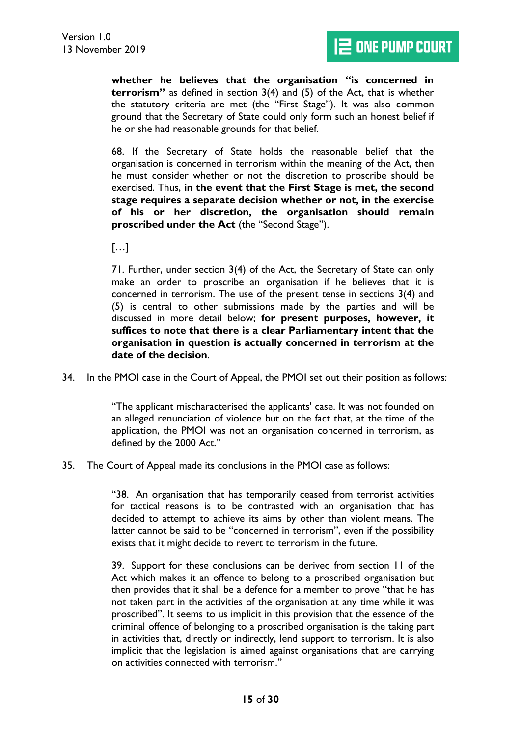**whether he believes that the organisation "is concerned in terrorism"** as defined in section 3(4) and (5) of the Act, that is whether the statutory criteria are met (the "First Stage"). It was also common ground that the Secretary of State could only form such an honest belief if he or she had reasonable grounds for that belief.

68. If the Secretary of State holds the reasonable belief that the organisation is concerned in terrorism within the meaning of the Act, then he must consider whether or not the discretion to proscribe should be exercised. Thus, **in the event that the First Stage is met, the second stage requires a separate decision whether or not, in the exercise of his or her discretion, the organisation should remain proscribed under the Act** (the "Second Stage").

 $[...]$ 

71. Further, under section 3(4) of the Act, the Secretary of State can only make an order to proscribe an organisation if he believes that it is concerned in terrorism. The use of the present tense in sections 3(4) and (5) is central to other submissions made by the parties and will be discussed in more detail below; **for present purposes, however, it suffices to note that there is a clear Parliamentary intent that the organisation in question is actually concerned in terrorism at the date of the decision**.

34. In the PMOI case in the Court of Appeal, the PMOI set out their position as follows:

"The applicant mischaracterised the applicants' case. It was not founded on an alleged renunciation of violence but on the fact that, at the time of the application, the PMOI was not an organisation concerned in terrorism, as defined by the 2000 Act."

35. The Court of Appeal made its conclusions in the PMOI case as follows:

"38. An organisation that has temporarily ceased from terrorist activities for tactical reasons is to be contrasted with an organisation that has decided to attempt to achieve its aims by other than violent means. The latter cannot be said to be "concerned in terrorism", even if the possibility exists that it might decide to revert to terrorism in the future.

39. Support for these conclusions can be derived from section 11 of the Act which makes it an offence to belong to a proscribed organisation but then provides that it shall be a defence for a member to prove "that he has not taken part in the activities of the organisation at any time while it was proscribed". It seems to us implicit in this provision that the essence of the criminal offence of belonging to a proscribed organisation is the taking part in activities that, directly or indirectly, lend support to terrorism. It is also implicit that the legislation is aimed against organisations that are carrying on activities connected with terrorism."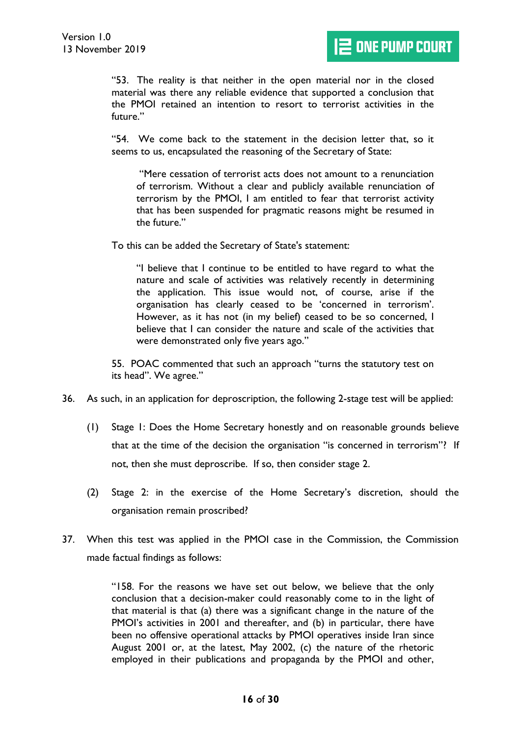"53. The reality is that neither in the open material nor in the closed material was there any reliable evidence that supported a conclusion that the PMOI retained an intention to resort to terrorist activities in the future."

"54. We come back to the statement in the decision letter that, so it seems to us, encapsulated the reasoning of the Secretary of State:

"Mere cessation of terrorist acts does not amount to a renunciation of terrorism. Without a clear and publicly available renunciation of terrorism by the PMOI, I am entitled to fear that terrorist activity that has been suspended for pragmatic reasons might be resumed in the future."

To this can be added the Secretary of State's statement:

"I believe that I continue to be entitled to have regard to what the nature and scale of activities was relatively recently in determining the application. This issue would not, of course, arise if the organisation has clearly ceased to be 'concerned in terrorism'. However, as it has not (in my belief) ceased to be so concerned, I believe that I can consider the nature and scale of the activities that were demonstrated only five years ago."

55. POAC commented that such an approach "turns the statutory test on its head". We agree."

- 36. As such, in an application for deproscription, the following 2-stage test will be applied:
	- (1) Stage 1: Does the Home Secretary honestly and on reasonable grounds believe that at the time of the decision the organisation "is concerned in terrorism"? If not, then she must deproscribe. If so, then consider stage 2.
	- (2) Stage 2: in the exercise of the Home Secretary's discretion, should the organisation remain proscribed?
- 37. When this test was applied in the PMOI case in the Commission, the Commission made factual findings as follows:

"158. For the reasons we have set out below, we believe that the only conclusion that a decision-maker could reasonably come to in the light of that material is that (a) there was a significant change in the nature of the PMOI's activities in 2001 and thereafter, and (b) in particular, there have been no offensive operational attacks by PMOI operatives inside Iran since August 2001 or, at the latest, May 2002, (c) the nature of the rhetoric employed in their publications and propaganda by the PMOI and other,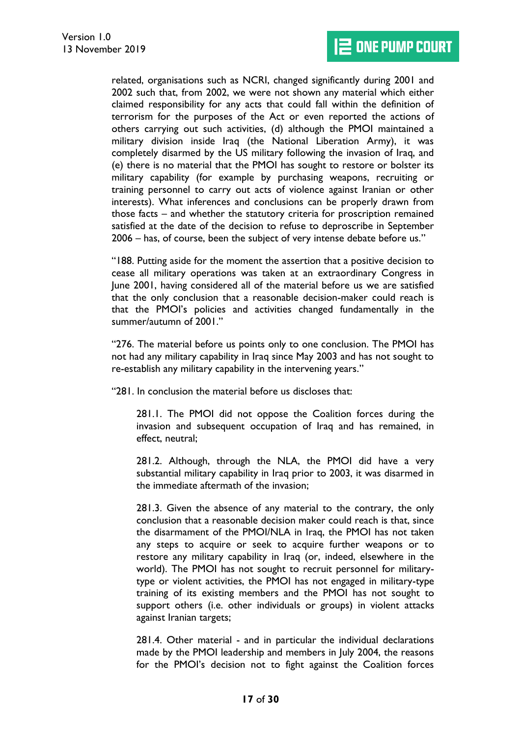related, organisations such as NCRI, changed significantly during 2001 and 2002 such that, from 2002, we were not shown any material which either claimed responsibility for any acts that could fall within the definition of terrorism for the purposes of the Act or even reported the actions of others carrying out such activities, (d) although the PMOI maintained a military division inside Iraq (the National Liberation Army), it was completely disarmed by the US military following the invasion of Iraq, and (e) there is no material that the PMOI has sought to restore or bolster its military capability (for example by purchasing weapons, recruiting or training personnel to carry out acts of violence against Iranian or other interests). What inferences and conclusions can be properly drawn from those facts – and whether the statutory criteria for proscription remained satisfied at the date of the decision to refuse to deproscribe in September 2006 – has, of course, been the subject of very intense debate before us."

"188. Putting aside for the moment the assertion that a positive decision to cease all military operations was taken at an extraordinary Congress in June 2001, having considered all of the material before us we are satisfied that the only conclusion that a reasonable decision-maker could reach is that the PMOI's policies and activities changed fundamentally in the summer/autumn of 2001."

"276. The material before us points only to one conclusion. The PMOI has not had any military capability in Iraq since May 2003 and has not sought to re-establish any military capability in the intervening years."

"281. In conclusion the material before us discloses that:

281.1. The PMOI did not oppose the Coalition forces during the invasion and subsequent occupation of Iraq and has remained, in effect, neutral;

281.2. Although, through the NLA, the PMOI did have a very substantial military capability in Iraq prior to 2003, it was disarmed in the immediate aftermath of the invasion;

281.3. Given the absence of any material to the contrary, the only conclusion that a reasonable decision maker could reach is that, since the disarmament of the PMOI/NLA in Iraq, the PMOI has not taken any steps to acquire or seek to acquire further weapons or to restore any military capability in Iraq (or, indeed, elsewhere in the world). The PMOI has not sought to recruit personnel for militarytype or violent activities, the PMOI has not engaged in military-type training of its existing members and the PMOI has not sought to support others (i.e. other individuals or groups) in violent attacks against Iranian targets;

281.4. Other material - and in particular the individual declarations made by the PMOI leadership and members in July 2004, the reasons for the PMOI's decision not to fight against the Coalition forces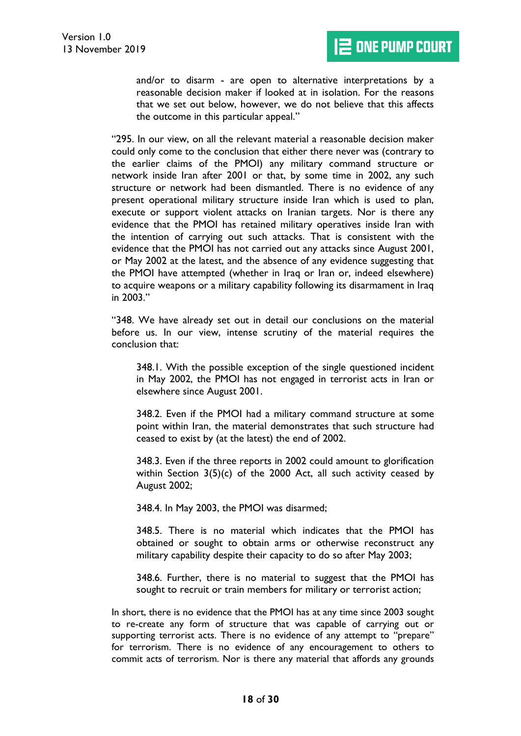and/or to disarm - are open to alternative interpretations by a reasonable decision maker if looked at in isolation. For the reasons that we set out below, however, we do not believe that this affects the outcome in this particular appeal."

"295. In our view, on all the relevant material a reasonable decision maker could only come to the conclusion that either there never was (contrary to the earlier claims of the PMOI) any military command structure or network inside Iran after 2001 or that, by some time in 2002, any such structure or network had been dismantled. There is no evidence of any present operational military structure inside Iran which is used to plan, execute or support violent attacks on Iranian targets. Nor is there any evidence that the PMOI has retained military operatives inside Iran with the intention of carrying out such attacks. That is consistent with the evidence that the PMOI has not carried out any attacks since August 2001, or May 2002 at the latest, and the absence of any evidence suggesting that the PMOI have attempted (whether in Iraq or Iran or, indeed elsewhere) to acquire weapons or a military capability following its disarmament in Iraq in 2003."

"348. We have already set out in detail our conclusions on the material before us. In our view, intense scrutiny of the material requires the conclusion that:

348.1. With the possible exception of the single questioned incident in May 2002, the PMOI has not engaged in terrorist acts in Iran or elsewhere since August 2001.

348.2. Even if the PMOI had a military command structure at some point within Iran, the material demonstrates that such structure had ceased to exist by (at the latest) the end of 2002.

348.3. Even if the three reports in 2002 could amount to glorification within Section 3(5)(c) of the 2000 Act, all such activity ceased by August 2002;

348.4. In May 2003, the PMOI was disarmed;

348.5. There is no material which indicates that the PMOI has obtained or sought to obtain arms or otherwise reconstruct any military capability despite their capacity to do so after May 2003;

348.6. Further, there is no material to suggest that the PMOI has sought to recruit or train members for military or terrorist action;

In short, there is no evidence that the PMOI has at any time since 2003 sought to re-create any form of structure that was capable of carrying out or supporting terrorist acts. There is no evidence of any attempt to "prepare" for terrorism. There is no evidence of any encouragement to others to commit acts of terrorism. Nor is there any material that affords any grounds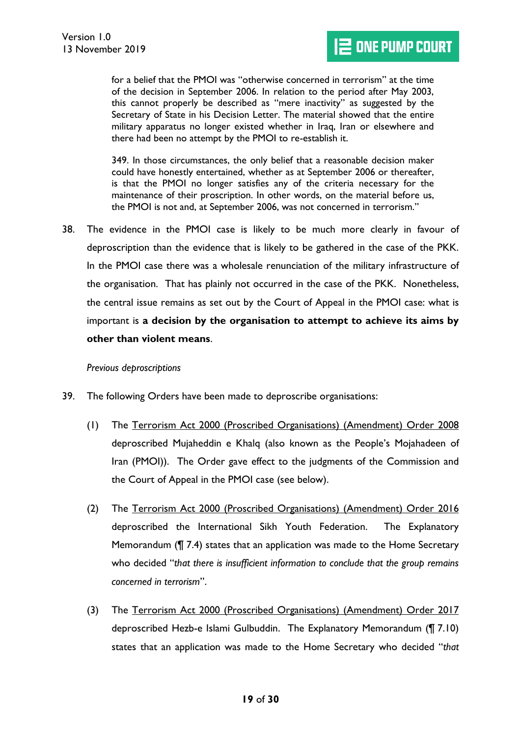for a belief that the PMOI was "otherwise concerned in terrorism" at the time of the decision in September 2006. In relation to the period after May 2003, this cannot properly be described as "mere inactivity" as suggested by the Secretary of State in his Decision Letter. The material showed that the entire military apparatus no longer existed whether in Iraq, Iran or elsewhere and there had been no attempt by the PMOI to re-establish it.

349. In those circumstances, the only belief that a reasonable decision maker could have honestly entertained, whether as at September 2006 or thereafter, is that the PMOI no longer satisfies any of the criteria necessary for the maintenance of their proscription. In other words, on the material before us, the PMOI is not and, at September 2006, was not concerned in terrorism."

<span id="page-18-1"></span>38. The evidence in the PMOI case is likely to be much more clearly in favour of deproscription than the evidence that is likely to be gathered in the case of the PKK. In the PMOI case there was a wholesale renunciation of the military infrastructure of the organisation. That has plainly not occurred in the case of the PKK. Nonetheless, the central issue remains as set out by the Court of Appeal in the PMOI case: what is important is **a decision by the organisation to attempt to achieve its aims by other than violent means**.

#### <span id="page-18-0"></span>*Previous deproscriptions*

- 39. The following Orders have been made to deproscribe organisations:
	- (1) The Terrorism Act 2000 (Proscribed Organisations) (Amendment) Order 2008 deproscribed Mujaheddin e Khalq (also known as the People's Mojahadeen of Iran (PMOI)). The Order gave effect to the judgments of the Commission and the Court of Appeal in the PMOI case (see below).
	- (2) The Terrorism Act 2000 (Proscribed Organisations) (Amendment) Order 2016 deproscribed the International Sikh Youth Federation. The Explanatory Memorandum (¶ 7.4) states that an application was made to the Home Secretary who decided "*that there is insufficient information to conclude that the group remains concerned in terrorism*".
	- (3) The Terrorism Act 2000 (Proscribed Organisations) (Amendment) Order 2017 deproscribed Hezb-e Islami Gulbuddin. The Explanatory Memorandum (¶ 7.10) states that an application was made to the Home Secretary who decided "*that*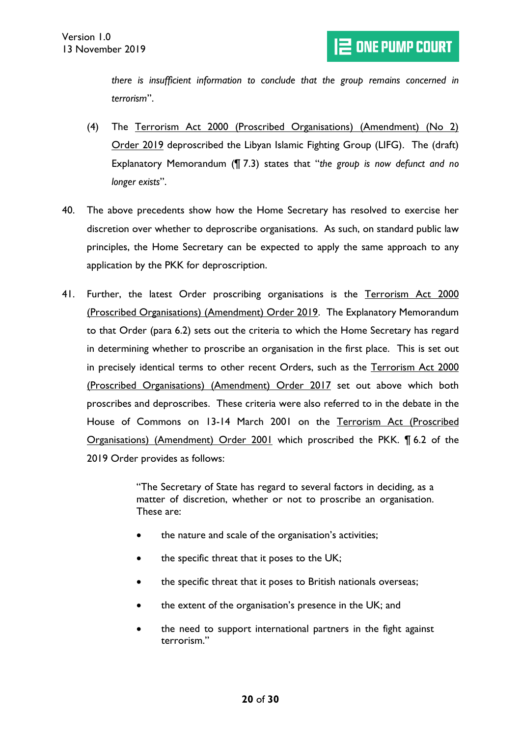*there is insufficient information to conclude that the group remains concerned in terrorism*".

- (4) The Terrorism Act 2000 (Proscribed Organisations) (Amendment) (No 2) Order 2019 deproscribed the Libyan Islamic Fighting Group (LIFG). The (draft) Explanatory Memorandum (¶ 7.3) states that "*the group is now defunct and no longer exists*".
- 40. The above precedents show how the Home Secretary has resolved to exercise her discretion over whether to deproscribe organisations. As such, on standard public law principles, the Home Secretary can be expected to apply the same approach to any application by the PKK for deproscription.
- 41. Further, the latest Order proscribing organisations is the Terrorism Act 2000 (Proscribed Organisations) (Amendment) Order 2019. The Explanatory Memorandum to that Order (para 6.2) sets out the criteria to which the Home Secretary has regard in determining whether to proscribe an organisation in the first place. This is set out in precisely identical terms to other recent Orders, such as the Terrorism Act 2000 (Proscribed Organisations) (Amendment) Order 2017 set out above which both proscribes and deproscribes. These criteria were also referred to in the debate in the House of Commons on 13-14 March 2001 on the Terrorism Act (Proscribed Organisations) (Amendment) Order 2001 which proscribed the PKK. ¶ 6.2 of the 2019 Order provides as follows:

"The Secretary of State has regard to several factors in deciding, as a matter of discretion, whether or not to proscribe an organisation. These are:

- the nature and scale of the organisation's activities;
- the specific threat that it poses to the UK;
- the specific threat that it poses to British nationals overseas;
- the extent of the organisation's presence in the UK; and
- the need to support international partners in the fight against terrorism."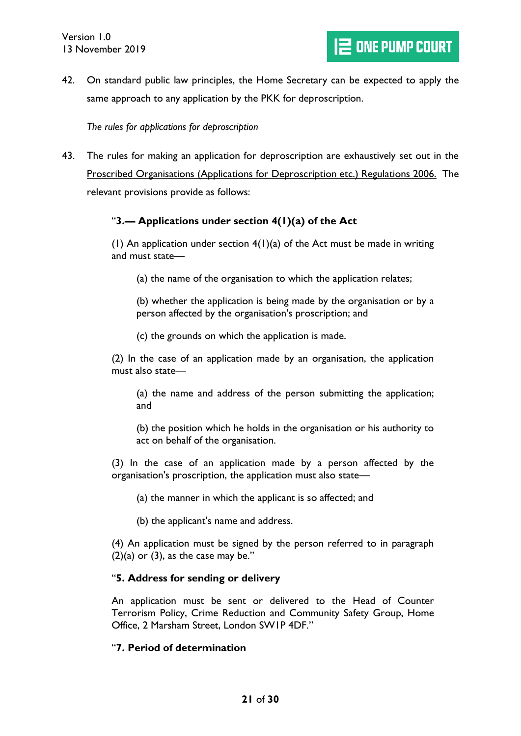42. On standard public law principles, the Home Secretary can be expected to apply the same approach to any application by the PKK for deproscription.

<span id="page-20-0"></span>*The rules for applications for deproscription*

<span id="page-20-1"></span>43. The rules for making an application for deproscription are exhaustively set out in the Proscribed Organisations (Applications for Deproscription etc.) Regulations 2006. The relevant provisions provide as follows:

# "**3.— Applications under section 4(1)(a) of the Act**

(1) An application under section  $4(1)(a)$  of the Act must be made in writing and must state—

(a) the name of the organisation to which the application relates;

(b) whether the application is being made by the organisation or by a person affected by the organisation's proscription; and

(c) the grounds on which the application is made.

(2) In the case of an application made by an organisation, the application must also state—

(a) the name and address of the person submitting the application; and

(b) the position which he holds in the organisation or his authority to act on behalf of the organisation.

(3) In the case of an application made by a person affected by the organisation's proscription, the application must also state—

(a) the manner in which the applicant is so affected; and

(b) the applicant's name and address.

(4) An application must be signed by the person referred to in paragraph  $(2)(a)$  or  $(3)$ , as the case may be."

#### "**5. Address for sending or delivery**

An application must be sent or delivered to the Head of Counter Terrorism Policy, Crime Reduction and Community Safety Group, Home Office, 2 Marsham Street, London SW1P 4DF."

#### "**7. Period of determination**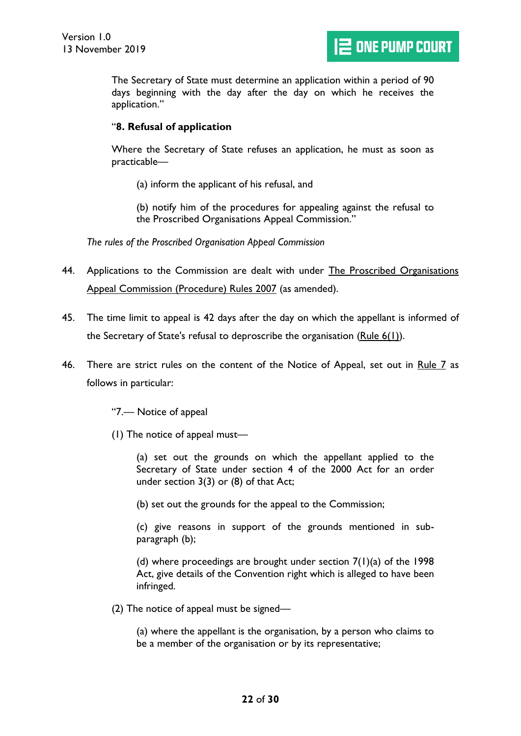The Secretary of State must determine an application within a period of 90 days beginning with the day after the day on which he receives the application."

#### "**8. Refusal of application**

Where the Secretary of State refuses an application, he must as soon as practicable—

(a) inform the applicant of his refusal, and

(b) notify him of the procedures for appealing against the refusal to the Proscribed Organisations Appeal Commission."

<span id="page-21-0"></span>*The rules of the Proscribed Organisation Appeal Commission*

- <span id="page-21-2"></span>44. Applications to the Commission are dealt with under The Proscribed Organisations Appeal Commission (Procedure) Rules 2007 (as amended).
- 45. The time limit to appeal is 42 days after the day on which the appellant is informed of the Secretary of State's refusal to deproscribe the organisation (Rule  $6(1)$ ).
- <span id="page-21-1"></span>46. There are strict rules on the content of the Notice of Appeal, set out in Rule 7 as follows in particular:

"7.— Notice of appeal

(1) The notice of appeal must—

(a) set out the grounds on which the appellant applied to the Secretary of State under section 4 of the 2000 Act for an order under section  $3(3)$  or  $(8)$  of that Act;

(b) set out the grounds for the appeal to the Commission;

(c) give reasons in support of the grounds mentioned in subparagraph (b);

(d) where proceedings are brought under section  $7(1)(a)$  of the 1998 Act, give details of the Convention right which is alleged to have been infringed.

(2) The notice of appeal must be signed—

(a) where the appellant is the organisation, by a person who claims to be a member of the organisation or by its representative;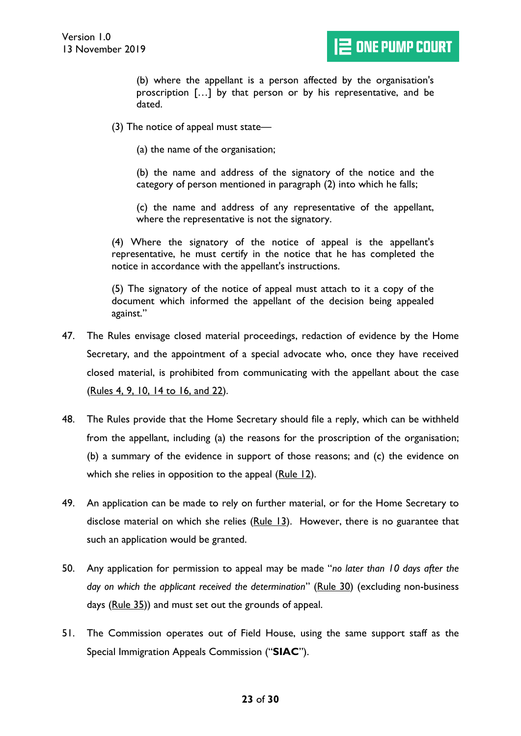(b) where the appellant is a person affected by the organisation's proscription […] by that person or by his representative, and be dated.

(3) The notice of appeal must state—

(a) the name of the organisation;

(b) the name and address of the signatory of the notice and the category of person mentioned in paragraph (2) into which he falls;

(c) the name and address of any representative of the appellant, where the representative is not the signatory.

(4) Where the signatory of the notice of appeal is the appellant's representative, he must certify in the notice that he has completed the notice in accordance with the appellant's instructions.

(5) The signatory of the notice of appeal must attach to it a copy of the document which informed the appellant of the decision being appealed against."

- 47. The Rules envisage closed material proceedings, redaction of evidence by the Home Secretary, and the appointment of a special advocate who, once they have received closed material, is prohibited from communicating with the appellant about the case (Rules 4, 9, 10, 14 to 16, and 22).
- 48. The Rules provide that the Home Secretary should file a reply, which can be withheld from the appellant, including (a) the reasons for the proscription of the organisation; (b) a summary of the evidence in support of those reasons; and (c) the evidence on which she relies in opposition to the appeal (Rule 12).
- 49. An application can be made to rely on further material, or for the Home Secretary to disclose material on which she relies  $(Rule 13)$ . However, there is no guarantee that such an application would be granted.
- <span id="page-22-1"></span>50. Any application for permission to appeal may be made "*no later than 10 days after the day on which the applicant received the determination*" (Rule 30) (excluding non-business days (Rule 35)) and must set out the grounds of appeal.
- <span id="page-22-0"></span>51. The Commission operates out of Field House, using the same support staff as the Special Immigration Appeals Commission ("**SIAC**").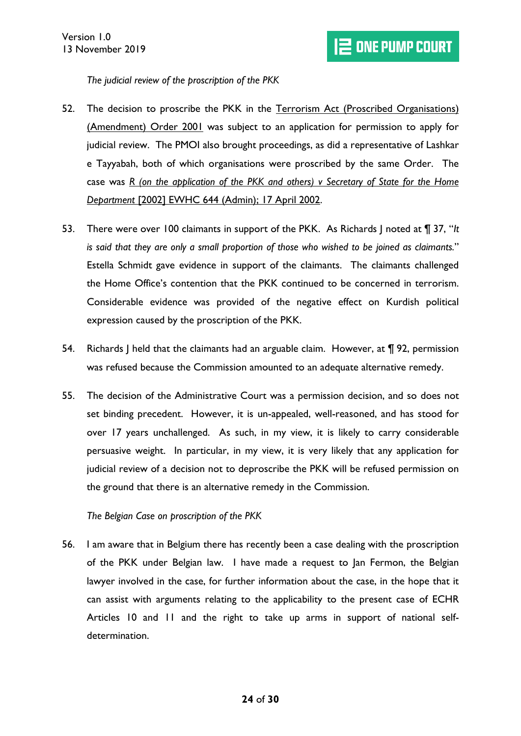<span id="page-23-0"></span>*The judicial review of the proscription of the PKK*

- 52. The decision to proscribe the PKK in the Terrorism Act (Proscribed Organisations) (Amendment) Order 2001 was subject to an application for permission to apply for judicial review. The PMOI also brought proceedings, as did a representative of Lashkar e Tayyabah, both of which organisations were proscribed by the same Order. The case was *R (on the application of the PKK and others) v Secretary of State for the Home Department* [2002] EWHC 644 (Admin); 17 April 2002.
- 53. There were over 100 claimants in support of the PKK. As Richards J noted at ¶ 37, "*It is said that they are only a small proportion of those who wished to be joined as claimants.*" Estella Schmidt gave evidence in support of the claimants. The claimants challenged the Home Office's contention that the PKK continued to be concerned in terrorism. Considerable evidence was provided of the negative effect on Kurdish political expression caused by the proscription of the PKK.
- 54. Richards J held that the claimants had an arguable claim. However, at  $\P$  92, permission was refused because the Commission amounted to an adequate alternative remedy.
- 55. The decision of the Administrative Court was a permission decision, and so does not set binding precedent. However, it is un-appealed, well-reasoned, and has stood for over 17 years unchallenged. As such, in my view, it is likely to carry considerable persuasive weight. In particular, in my view, it is very likely that any application for judicial review of a decision not to deproscribe the PKK will be refused permission on the ground that there is an alternative remedy in the Commission.

<span id="page-23-1"></span>*The Belgian Case on proscription of the PKK*

56. I am aware that in Belgium there has recently been a case dealing with the proscription of the PKK under Belgian law. I have made a request to Jan Fermon, the Belgian lawyer involved in the case, for further information about the case, in the hope that it can assist with arguments relating to the applicability to the present case of ECHR Articles 10 and 11 and the right to take up arms in support of national selfdetermination.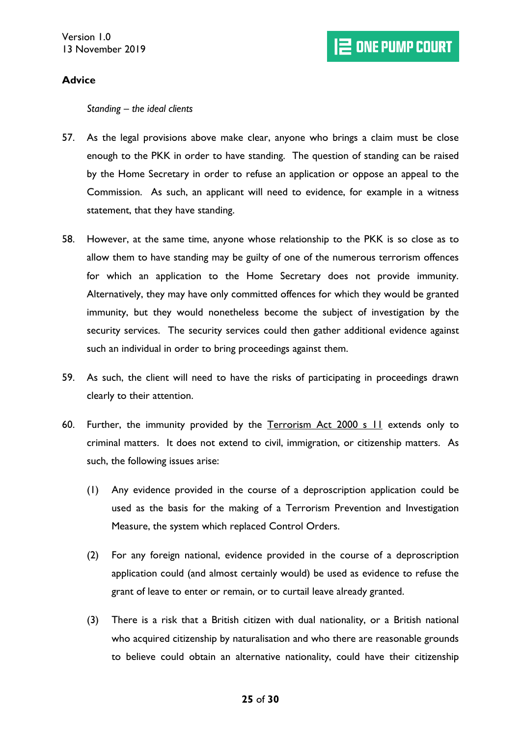# <span id="page-24-0"></span>**Advice**

<span id="page-24-1"></span>*Standing – the ideal clients*

- <span id="page-24-2"></span>57. As the legal provisions above make clear, anyone who brings a claim must be close enough to the PKK in order to have standing. The question of standing can be raised by the Home Secretary in order to refuse an application or oppose an appeal to the Commission. As such, an applicant will need to evidence, for example in a witness statement, that they have standing.
- 58. However, at the same time, anyone whose relationship to the PKK is so close as to allow them to have standing may be guilty of one of the numerous terrorism offences for which an application to the Home Secretary does not provide immunity. Alternatively, they may have only committed offences for which they would be granted immunity, but they would nonetheless become the subject of investigation by the security services. The security services could then gather additional evidence against such an individual in order to bring proceedings against them.
- <span id="page-24-3"></span>59. As such, the client will need to have the risks of participating in proceedings drawn clearly to their attention.
- 60. Further, the immunity provided by the Terrorism Act 2000 s 11 extends only to criminal matters. It does not extend to civil, immigration, or citizenship matters. As such, the following issues arise:
	- (1) Any evidence provided in the course of a deproscription application could be used as the basis for the making of a Terrorism Prevention and Investigation Measure, the system which replaced Control Orders.
	- (2) For any foreign national, evidence provided in the course of a deproscription application could (and almost certainly would) be used as evidence to refuse the grant of leave to enter or remain, or to curtail leave already granted.
	- (3) There is a risk that a British citizen with dual nationality, or a British national who acquired citizenship by naturalisation and who there are reasonable grounds to believe could obtain an alternative nationality, could have their citizenship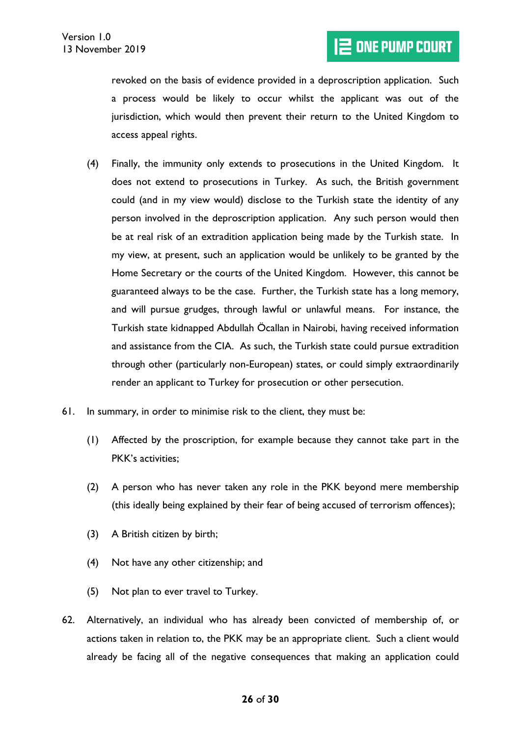revoked on the basis of evidence provided in a deproscription application. Such a process would be likely to occur whilst the applicant was out of the jurisdiction, which would then prevent their return to the United Kingdom to access appeal rights.

- (4) Finally, the immunity only extends to prosecutions in the United Kingdom. It does not extend to prosecutions in Turkey. As such, the British government could (and in my view would) disclose to the Turkish state the identity of any person involved in the deproscription application. Any such person would then be at real risk of an extradition application being made by the Turkish state. In my view, at present, such an application would be unlikely to be granted by the Home Secretary or the courts of the United Kingdom. However, this cannot be guaranteed always to be the case. Further, the Turkish state has a long memory, and will pursue grudges, through lawful or unlawful means. For instance, the Turkish state kidnapped Abdullah Öcallan in Nairobi, having received information and assistance from the CIA. As such, the Turkish state could pursue extradition through other (particularly non-European) states, or could simply extraordinarily render an applicant to Turkey for prosecution or other persecution.
- <span id="page-25-1"></span>61. In summary, in order to minimise risk to the client, they must be:
	- (1) Affected by the proscription, for example because they cannot take part in the PKK's activities;
	- (2) A person who has never taken any role in the PKK beyond mere membership (this ideally being explained by their fear of being accused of terrorism offences);
	- (3) A British citizen by birth;
	- (4) Not have any other citizenship; and
	- (5) Not plan to ever travel to Turkey.
- <span id="page-25-0"></span>62. Alternatively, an individual who has already been convicted of membership of, or actions taken in relation to, the PKK may be an appropriate client. Such a client would already be facing all of the negative consequences that making an application could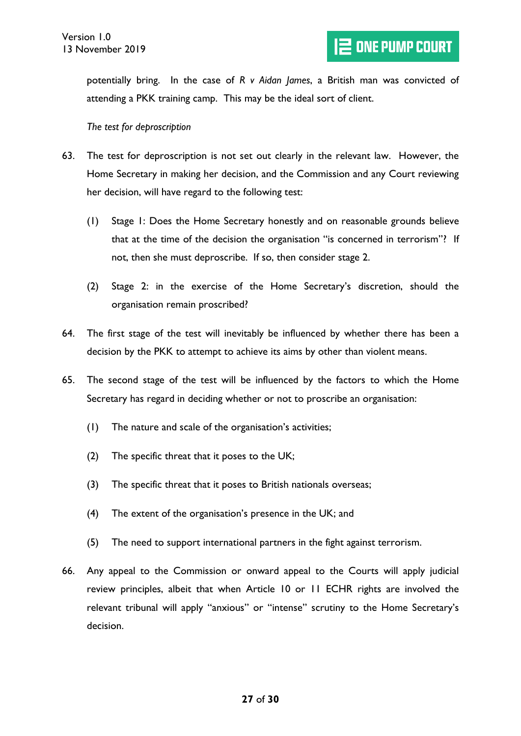potentially bring. In the case of *R v Aidan James*, a British man was convicted of attending a PKK training camp. This may be the ideal sort of client.

#### <span id="page-26-0"></span>*The test for deproscription*

- <span id="page-26-1"></span>63. The test for deproscription is not set out clearly in the relevant law. However, the Home Secretary in making her decision, and the Commission and any Court reviewing her decision, will have regard to the following test:
	- (1) Stage 1: Does the Home Secretary honestly and on reasonable grounds believe that at the time of the decision the organisation "is concerned in terrorism"? If not, then she must deproscribe. If so, then consider stage 2.
	- (2) Stage 2: in the exercise of the Home Secretary's discretion, should the organisation remain proscribed?
- 64. The first stage of the test will inevitably be influenced by whether there has been a decision by the PKK to attempt to achieve its aims by other than violent means.
- <span id="page-26-2"></span>65. The second stage of the test will be influenced by the factors to which the Home Secretary has regard in deciding whether or not to proscribe an organisation:
	- (1) The nature and scale of the organisation's activities;
	- (2) The specific threat that it poses to the UK;
	- (3) The specific threat that it poses to British nationals overseas;
	- (4) The extent of the organisation's presence in the UK; and
	- (5) The need to support international partners in the fight against terrorism.
- <span id="page-26-3"></span>66. Any appeal to the Commission or onward appeal to the Courts will apply judicial review principles, albeit that when Article 10 or 11 ECHR rights are involved the relevant tribunal will apply "anxious" or "intense" scrutiny to the Home Secretary's decision.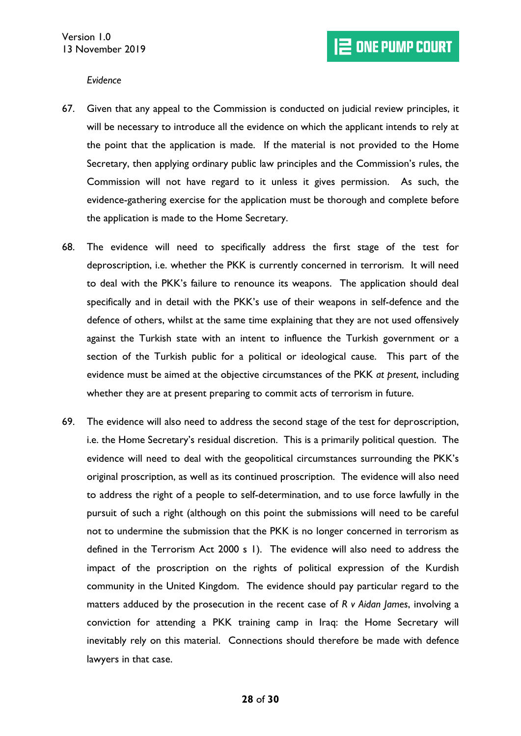<span id="page-27-0"></span>*Evidence*

- <span id="page-27-1"></span>67. Given that any appeal to the Commission is conducted on judicial review principles, it will be necessary to introduce all the evidence on which the applicant intends to rely at the point that the application is made. If the material is not provided to the Home Secretary, then applying ordinary public law principles and the Commission's rules, the Commission will not have regard to it unless it gives permission. As such, the evidence-gathering exercise for the application must be thorough and complete before the application is made to the Home Secretary.
- 68. The evidence will need to specifically address the first stage of the test for deproscription, i.e. whether the PKK is currently concerned in terrorism. It will need to deal with the PKK's failure to renounce its weapons. The application should deal specifically and in detail with the PKK's use of their weapons in self-defence and the defence of others, whilst at the same time explaining that they are not used offensively against the Turkish state with an intent to influence the Turkish government or a section of the Turkish public for a political or ideological cause. This part of the evidence must be aimed at the objective circumstances of the PKK *at present*, including whether they are at present preparing to commit acts of terrorism in future.
- <span id="page-27-2"></span>69. The evidence will also need to address the second stage of the test for deproscription, i.e. the Home Secretary's residual discretion. This is a primarily political question. The evidence will need to deal with the geopolitical circumstances surrounding the PKK's original proscription, as well as its continued proscription. The evidence will also need to address the right of a people to self-determination, and to use force lawfully in the pursuit of such a right (although on this point the submissions will need to be careful not to undermine the submission that the PKK is no longer concerned in terrorism as defined in the Terrorism Act 2000 s 1). The evidence will also need to address the impact of the proscription on the rights of political expression of the Kurdish community in the United Kingdom. The evidence should pay particular regard to the matters adduced by the prosecution in the recent case of *R v Aidan James*, involving a conviction for attending a PKK training camp in Iraq: the Home Secretary will inevitably rely on this material. Connections should therefore be made with defence lawyers in that case.